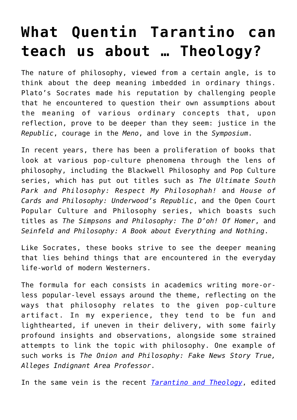## **[What Quentin Tarantino can](https://intellectualtakeout.org/2016/07/what-quentin-tarantino-can-teach-us-about-theology/) [teach us about … Theology?](https://intellectualtakeout.org/2016/07/what-quentin-tarantino-can-teach-us-about-theology/)**

The nature of philosophy, viewed from a certain angle, is to think about the deep meaning imbedded in ordinary things. Plato's Socrates made his reputation by challenging people that he encountered to question their own assumptions about the meaning of various ordinary concepts that, upon reflection, prove to be deeper than they seem: justice in the *Republic*, courage in the *Meno*, and love in the *Symposium*.

In recent years, there has been a proliferation of books that look at various pop-culture phenomena through the lens of philosophy, including the Blackwell Philosophy and Pop Culture series, which has put out titles such as *The Ultimate South Park and Philosophy: Respect My Philosophah!* and *House of Cards and Philosophy: Underwood's Republic*, and the Open Court Popular Culture and Philosophy series, which boasts such titles as *The Simpsons and Philosophy: The D'oh! Of Homer*, and *Seinfeld and Philosophy: A Book about Everything and Nothing*.

Like Socrates, these books strive to see the deeper meaning that lies behind things that are encountered in the everyday life-world of modern Westerners.

The formula for each consists in academics writing more-orless popular-level essays around the theme, reflecting on the ways that philosophy relates to the given pop-culture artifact. In my experience, they tend to be fun and lighthearted, if uneven in their delivery, with some fairly profound insights and observations, alongside some strained attempts to link the topic with philosophy. One example of such works is *The Onion and Philosophy: Fake News Story True, Alleges Indignant Area Professor*.

In the same vein is the recent *[Tarantino and Theology](http://astore.amazon.com/theimaginativeconservative-20/detail/0988930579)*, edited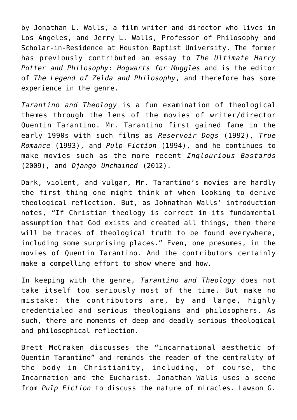by Jonathan L. Walls, a film writer and director who lives in Los Angeles, and Jerry L. Walls, Professor of Philosophy and Scholar-in-Residence at Houston Baptist University. The former has previously contributed an essay to *The Ultimate Harry Potter and Philosophy: Hogwarts for Muggles* and is the editor of *The Legend of Zelda and Philosophy*, and therefore has some experience in the genre.

*Tarantino and Theology* is a fun examination of theological themes through the lens of the movies of writer/director Quentin Tarantino. Mr. Tarantino first gained fame in the early 1990s with such films as *Reservoir Dogs* (1992), *True Romance* (1993), and *Pulp Fiction* (1994), and he continues to make movies such as the more recent *Inglourious Bastards* (2009), and *Django Unchained* (2012).

Dark, violent, and vulgar, Mr. Tarantino's movies are hardly the first thing one might think of when looking to derive theological reflection. But, as Johnathan Walls' introduction notes, "If Christian theology is correct in its fundamental assumption that God exists and created all things, then there will be traces of theological truth to be found everywhere, including some surprising places." Even, one presumes, in the movies of Quentin Tarantino. And the contributors certainly make a compelling effort to show where and how.

In keeping with the genre, *Tarantino and Theology* does not take itself too seriously most of the time. But make no mistake: the contributors are, by and large, highly credentialed and serious theologians and philosophers. As such, there are moments of deep and deadly serious theological and philosophical reflection.

Brett McCraken discusses the "incarnational aesthetic of Quentin Tarantino" and reminds the reader of the centrality of the body in Christianity, including, of course, the Incarnation and the Eucharist. Jonathan Walls uses a scene from *Pulp Fiction* to discuss the nature of miracles. Lawson G.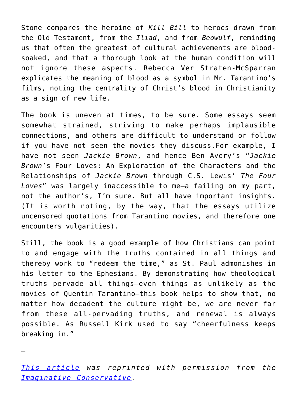Stone compares the heroine of *Kill Bill* to heroes drawn from the Old Testament, from the *Iliad*, and from *Beowulf*, reminding us that often the greatest of cultural achievements are bloodsoaked, and that a thorough look at the human condition will not ignore these aspects. Rebecca Ver Straten-McSparran explicates the meaning of blood as a symbol in Mr. Tarantino's films, noting the centrality of Christ's blood in Christianity as a sign of new life.

The book is uneven at times, to be sure. Some essays seem somewhat strained, striving to make perhaps implausible connections, and others are difficult to understand or follow if you have not seen the movies they discuss.For example, I have not seen *Jackie Brown*, and hence Ben Avery's "*Jackie Brown*'s Four Loves: An Exploration of the Characters and the Relationships of *Jackie Brown* through C.S. Lewis' *The Four Loves*" was largely inaccessible to me—a failing on my part, not the author's, I'm sure. But all have important insights. (It is worth noting, by the way, that the essays utilize uncensored quotations from Tarantino movies, and therefore one encounters vulgarities).

Still, the book is a good example of how Christians can point to and engage with the truths contained in all things and thereby work to "redeem the time," as St. Paul admonishes in his letter to the Ephesians. By demonstrating how theological truths pervade all things—even things as unlikely as the movies of Quentin Tarantino—this book helps to show that, no matter how decadent the culture might be, we are never far from these all-pervading truths, and renewal is always possible. As Russell Kirk used to say "cheerfulness keeps breaking in."

*[This article](http://www.theimaginativeconservative.org/2016/07/redeeming-quentin-tarantino.html) was reprinted with permission from the [Imaginative Conservative.](http://www.theimaginativeconservative.org/)* 

—